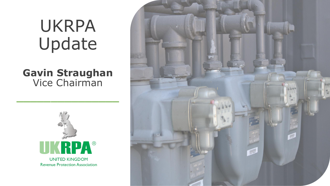# UKRPA Update

### **Gavin Straughan** Vice Chairman

\_\_\_\_\_\_\_\_\_\_\_\_\_\_\_



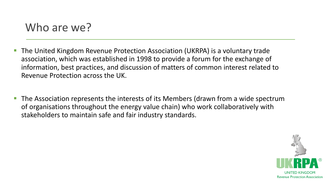- The United Kingdom Revenue Protection Association (UKRPA) is a voluntary trade association, which was established in 1998 to provide a forum for the exchange of information, best practices, and discussion of matters of common interest related to Revenue Protection across the UK.
- The Association represents the interests of its Members (drawn from a wide spectrum of organisations throughout the energy value chain) who work collaboratively with stakeholders to maintain safe and fair industry standards.

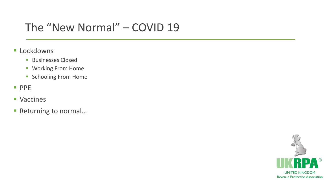## The "New Normal" – COVID 19

- **ELockdowns** 
	- **Businesses Closed**
	- Working From Home
	- **Exercise Schooling From Home**
- PPE
- Vaccines
- Returning to normal...

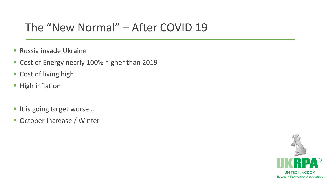### The "New Normal" – After COVID 19

- Russia invade Ukraine
- Cost of Energy nearly 100% higher than 2019
- Cost of living high
- **E** High inflation
- It is going to get worse...
- October increase / Winter

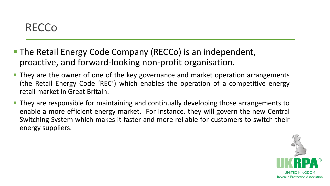### RECCo

- The Retail Energy Code Company (RECCo) is an independent, proactive, and forward-looking non-profit organisation.
- **They are the owner of one of the key governance and market operation arrangements** (the Retail Energy Code 'REC') which enables the operation of a competitive energy retail market in Great Britain.
- They are responsible for maintaining and continually developing those arrangements to enable a more efficient energy market. For instance, they will govern the new Central Switching System which makes it faster and more reliable for customers to switch their energy suppliers.

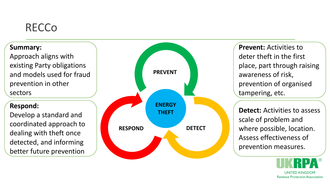## **RECCo**

#### **Summary:**

Approach aligns with existing Party obligations and models used for fraud prevention in other sectors

#### **Respond:**

Develop a standard and coordinated approach to dealing with theft once detected, and informing better future prevention



**Prevent:** Activities to deter theft in the first place, part through raising awareness of risk, prevention of organised tampering, etc.

**Detect:** Activities to assess scale of problem and where possible, location. Assess effectiveness of prevention measures.

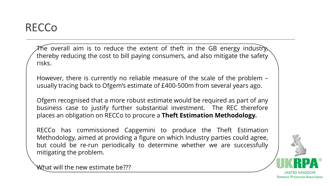### **RECCo**

 ${\cal F}$ he overall aim is to reduce the extent of theft in the GB energy industr ${\bf y}_{\!\lambda}$ thereby reducing the cost to bill paying consumers, and also mitigate the safety risks.

However, there is currently no reliable measure of the scale of the problem – usually tracing back to Ofgem's estimate of £400-500m from several years ago.

Ofgem recognised that a more robust estimate would be required as part of any business case to justify further substantial investment. The REC therefore places an obligation on RECCo to procure a **Theft Estimation Methodology.**

RECCo has commissioned Capgemini to produce the Theft Estimation Methodology, aimed at providing a figure on which Industry parties could agree, but could be re-run periodically to determine whether we are successfully mitigating the problem.

UNITED KINGDOI **Revenue Protection Association** 

What will the new estimate be???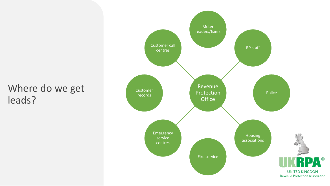### Where do we get leads?

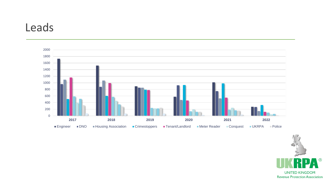### Leads



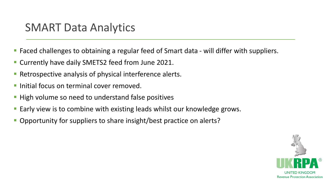### SMART Data Analytics

- Faced challenges to obtaining a regular feed of Smart data will differ with suppliers.
- Currently have daily SMETS2 feed from June 2021.
- Retrospective analysis of physical interference alerts.
- Initial focus on terminal cover removed.
- High volume so need to understand false positives
- Early view is to combine with existing leads whilst our knowledge grows.
- Opportunity for suppliers to share insight/best practice on alerts?